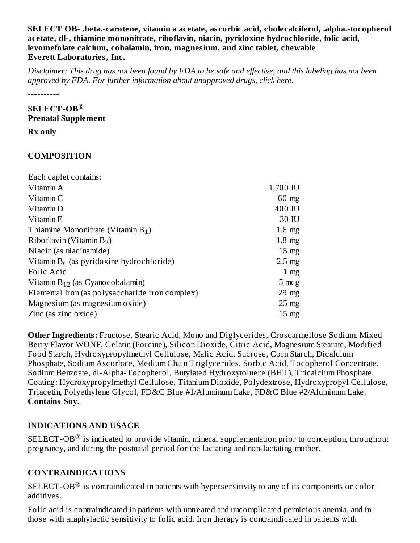#### **SELECT OB- .beta.-carotene, vitamin a acetate, as corbic acid, cholecalciferol, .alpha.-tocopherol acetate, dl-, thiamine mononitrate, riboflavin, niacin, pyridoxine hydrochloride, folic acid, levomefolate calcium, cobalamin, iron, magnesium, and zinc tablet, chewable Everett Laboratories, Inc.**

Disclaimer: This drug has not been found by FDA to be safe and effective, and this labeling has not been *approved by FDA. For further information about unapproved drugs, click here.*

----------

### **SELECT-OB ® Prenatal Supplement**

**Rx only**

# **COMPOSITION**

| Each caplet contains:                           |                  |
|-------------------------------------------------|------------------|
| Vitamin A                                       | 1,700 IU         |
| Vitamin C                                       | $60 \text{ mg}$  |
| Vitamin D                                       | 400 IU           |
| Vitamin E                                       | 30 IU            |
| Thiamine Mononitrate (Vitamin $B_1$ )           | $1.6 \text{ mg}$ |
| Riboflavin (Vitamin $B_2$ )                     | $1.8 \text{ mg}$ |
| Niacin (as niacinamide)                         | $15 \text{ mg}$  |
| Vitamin $B_6$ (as pyridoxine hydrochloride)     | $2.5 \text{ mg}$ |
| Folic Acid                                      | $1 \text{ mg}$   |
| Vitamin $B_{12}$ (as Cyanocobalamin)            | 5 mcg            |
| Elemental Iron (as polysaccharide iron complex) | $29 \text{ mg}$  |
| Magnesium (as magnesium oxide)                  | $25 \text{ mg}$  |
| Zinc (as zinc oxide)                            | $15 \text{ mg}$  |

**Other Ingredients:** Fructose, Stearic Acid, Mono and Diglycerides, Croscarmellose Sodium, Mixed Berry Flavor WONF, Gelatin (Porcine), Silicon Dioxide, Citric Acid, Magnesium Stearate, Modified Food Starch, Hydroxypropylmethyl Cellulose, Malic Acid, Sucrose, Corn Starch, Dicalcium Phosphate, Sodium Ascorbate, Medium Chain Triglycerides, Sorbic Acid, Tocopherol Concentrate, Sodium Benzoate, dl-Alpha-Tocopherol, Butylated Hydroxytoluene (BHT), Tricalcium Phosphate. Coating: Hydroxypropylmethyl Cellulose, Titanium Dioxide, Polydextrose, Hydroxypropyl Cellulose, Triacetin, Polyethylene Glycol, FD&C Blue #1/Aluminum Lake, FD&C Blue #2/Aluminum Lake. **Contains Soy.**

# **INDICATIONS AND USAGE**

SELECT-OB $^{\circledR}$  is indicated to provide vitamin, mineral supplementation prior to conception, throughout pregnancy, and during the postnatal period for the lactating and non-lactating mother.

# **CONTRAINDICATIONS**

SELECT-OB $^{\circledR}$  is contraindicated in patients with hypersensitivity to any of its components or color additives.

Folic acid is contraindicated in patients with untreated and uncomplicated pernicious anemia, and in those with anaphylactic sensitivity to folic acid. Iron therapy is contraindicated in patients with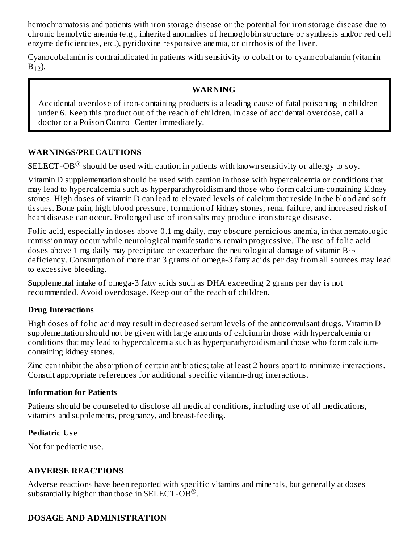hemochromatosis and patients with iron storage disease or the potential for iron storage disease due to chronic hemolytic anemia (e.g., inherited anomalies of hemoglobin structure or synthesis and/or red cell enzyme deficiencies, etc.), pyridoxine responsive anemia, or cirrhosis of the liver.

Cyanocobalamin is contraindicated in patients with sensitivity to cobalt or to cyanocobalamin (vitamin  $B_{12}$ ).

#### **WARNING**

Accidental overdose of iron-containing products is a leading cause of fatal poisoning in children under 6. Keep this product out of the reach of children. In case of accidental overdose, call a doctor or a Poison Control Center immediately.

#### **WARNINGS/PRECAUTIONS**

SELECT-OB $^\circledR$  should be used with caution in patients with known sensitivity or allergy to soy.

Vitamin D supplementation should be used with caution in those with hypercalcemia or conditions that may lead to hypercalcemia such as hyperparathyroidism and those who form calcium-containing kidney stones. High doses of vitamin D can lead to elevated levels of calcium that reside in the blood and soft tissues. Bone pain, high blood pressure, formation of kidney stones, renal failure, and increased risk of heart disease can occur. Prolonged use of iron salts may produce iron storage disease.

Folic acid, especially in doses above 0.1 mg daily, may obscure pernicious anemia, in that hematologic remission may occur while neurological manifestations remain progressive. The use of folic acid doses above 1 mg daily may precipitate or exacerbate the neurological damage of vitamin  $\rm B_{12}$ deficiency. Consumption of more than 3 grams of omega-3 fatty acids per day from all sources may lead to excessive bleeding.

Supplemental intake of omega-3 fatty acids such as DHA exceeding 2 grams per day is not recommended. Avoid overdosage. Keep out of the reach of children.

#### **Drug Interactions**

High doses of folic acid may result in decreased serum levels of the anticonvulsant drugs. Vitamin D supplementation should not be given with large amounts of calcium in those with hypercalcemia or conditions that may lead to hypercalcemia such as hyperparathyroidism and those who form calciumcontaining kidney stones.

Zinc can inhibit the absorption of certain antibiotics; take at least 2 hours apart to minimize interactions. Consult appropriate references for additional specific vitamin-drug interactions.

#### **Information for Patients**

Patients should be counseled to disclose all medical conditions, including use of all medications, vitamins and supplements, pregnancy, and breast-feeding.

#### **Pediatric Us e**

Not for pediatric use.

### **ADVERSE REACTIONS**

Adverse reactions have been reported with specific vitamins and minerals, but generally at doses substantially higher than those in SELECT-OB $^{\circledR}$ .

### **DOSAGE AND ADMINISTRATION**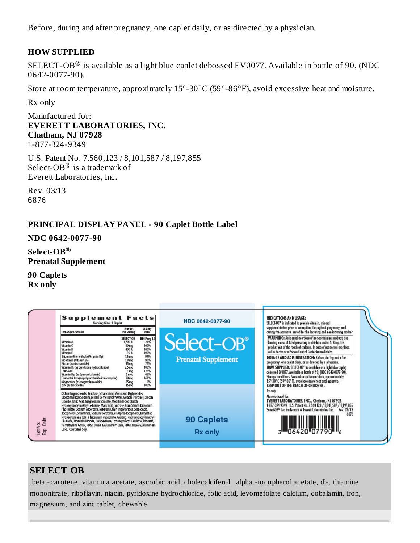Before, during and after pregnancy, one caplet daily, or as directed by a physician.

### **HOW SUPPLIED**

SELECT-OB $^\circledR$  is available as a light blue caplet debossed EV0077. Available in bottle of 90, (NDC 0642-0077-90).

Store at room temperature, approximately 15°-30°C (59°-86°F), avoid excessive heat and moisture.

Rx only

Manufactured for: **EVERETT LABORATORIES, INC. Chatham, NJ 07928** 1-877-324-9349

U.S. Patent No. 7,560,123 / 8,101,587 / 8,197,855 Select-OB $^\circledR$  is a trademark of Everett Laboratories, Inc.

Rev. 03/13 6876

### **PRINCIPAL DISPLAY PANEL - 90 Caplet Bottle Label**

**NDC 0642-0077-90**

**Select-OB ®Prenatal Supplement**

**90 Caplets Rx only**



# **SELECT OB**

.beta.-carotene, vitamin a acetate, ascorbic acid, cholecalciferol, .alpha.-tocopherol acetate, dl-, thiamine mononitrate, riboflavin, niacin, pyridoxine hydrochloride, folic acid, levomefolate calcium, cobalamin, iron, magnesium, and zinc tablet, chewable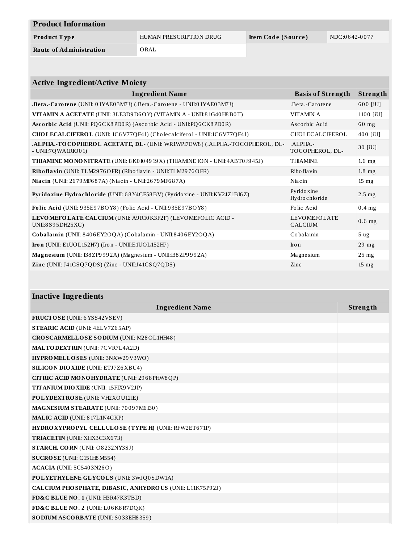| <b>Product Information</b>     |                         |                    |               |
|--------------------------------|-------------------------|--------------------|---------------|
| Product Type                   | HUMAN PRESCRIPTION DRUG | Item Code (Source) | NDC:0642-0077 |
| <b>Route of Administration</b> | ORAL                    |                    |               |

| <b>Active Ingredient/Active Moiety</b>                                                             |                                       |                  |  |  |
|----------------------------------------------------------------------------------------------------|---------------------------------------|------------------|--|--|
| <b>Ingredient Name</b>                                                                             | <b>Basis of Strength</b>              | Strength         |  |  |
| .Beta.-Carotene (UNII: 01YAE03M7J) (.Beta.-Carotene - UNII:01YAE03M7J)                             | .Beta.-Carotene                       | 600 [iU]         |  |  |
| VITAMIN A ACETATE (UNII: 3LE3D9 D6OY) (VITAMIN A - UNII:8 1G40 H8 B0T)                             | <b>VITAMINA</b>                       | 1100 [iU]        |  |  |
| Ascorbic Acid (UNII: PQ6CK8PD0R) (Ascorbic Acid - UNII:PQ6CK8PD0R)                                 | Ascorbic Acid                         | $60$ mg          |  |  |
| CHOLECALCIFEROL (UNII: 1C6V77QF41) (Cholecalciferol - UNII:1C6V77QF41)                             | CHOLECALCIFEROL                       | 400 [iU]         |  |  |
| ALPHA.-TOCOPHEROL ACETATE, DL- (UNII: WR1WPI7EW8) (.ALPHA.-TOCOPHEROL, DL-<br>$-$ UNII:7QWA1RIO01) | $ALPHA$ .<br>TOCOPHEROL, DL-          | 30 [iU]          |  |  |
| THIAMINE MONONITRATE (UNII: 8 K0 I0 49 19 X) (THIAMINE ION - UNII:4ABT0 J9 45J)                    | <b>THIAMINE</b>                       | $1.6$ mg         |  |  |
| Riboflavin (UNII: TLM2976OFR) (Riboflavin - UNII:TLM2976OFR)                                       | Ribo flavin                           | $1.8$ mg         |  |  |
| <b>Niacin</b> (UNII: 2679 MF687A) (Niacin - UNII:2679 MF687A)                                      | Niacin                                | $15 \text{ mg}$  |  |  |
| Pyridoxine Hydrochloride (UNII: 68Y4CF58BV) (Pyridoxine - UNII:KV2JZ1BI6Z)                         | Pyrido xine<br>Hydro chlo ride        | $2.5 \text{ mg}$ |  |  |
| Folic Acid (UNII: 935E97BOY8) (Folic Acid - UNII: 935E97BOY8)                                      | Folic Acid                            | $0.4$ mg         |  |  |
| LEVOMEFOLATE CALCIUM (UNII: A9R10K3F2F) (LEVOMEFOLIC ACID -<br>UNII:8 S95DH25XC)                   | <b>LEVOMEFOLATE</b><br><b>CALCIUM</b> | $0.6$ mg         |  |  |
| Cobalamin (UNII: $8406EY2OQA$ ) (Cobalamin - UNII: $8406EY2OQA$ )                                  | Cobalamin                             | 5 <sub>ug</sub>  |  |  |
| Iron (UNII: E1UOL152H7) (Iron - UNII:E1UOL152H7)                                                   | Iro n                                 | $29$ mg          |  |  |
| Magnesium (UNII: I38 ZP9992A) (Magnesium - UNII: I38 ZP9992A)                                      | Magnesium                             | 25 <sub>mg</sub> |  |  |
| Zinc (UNII: J41CSQ7QDS) (Zinc - UNII:J41CSQ7QDS)                                                   | Zinc                                  | $15 \text{ mg}$  |  |  |

| <b>Inactive Ingredients</b>                               |          |
|-----------------------------------------------------------|----------|
| <b>Ingredient Name</b>                                    | Strength |
| FRUCTOSE (UNII: 6YSS42VSEV)                               |          |
| <b>STEARIC ACID (UNII: 4ELV7Z65AP)</b>                    |          |
| CROSCARMELLOSE SODIUM (UNII: M28OL1HH48)                  |          |
| <b>MALTODEXTRIN (UNII: 7CVR7L4A2D)</b>                    |          |
| HYPROMELLOSES (UNII: 3NXW29V3WO)                          |          |
| <b>SILICON DIO XIDE (UNII: ETJ7Z6 XBU4)</b>               |          |
| CITRIC ACID MONOHYDRATE (UNII: 2968 PHW8 QP)              |          |
| TITANIUM DIO XIDE (UNII: 15FIX9V2JP)                      |          |
| POLYDEXTROSE (UNII: VH2XOU12IE)                           |          |
| MAGNESIUM STEARATE (UNII: 70097M6I30)                     |          |
| <b>MALIC ACID (UNII: 817L1N4CKP)</b>                      |          |
| HYDROXYPROPYL CELLULOSE (TYPE H) (UNII: RFW2ET671P)       |          |
| <b>TRIACETIN</b> (UNII: XHX3C3X673)                       |          |
| STARCH, CORN (UNII: O8232NY3SJ)                           |          |
| SUCROSE (UNII: C151H8 M554)                               |          |
| <b>ACACIA</b> (UNII: 5C5403N26O)                          |          |
| POLYETHYLENE GLYCOLS (UNII: 3WJQ0SDW1A)                   |          |
| CALCIUM PHO SPHATE, DIBASIC, ANHYDROUS (UNII: L11K75P92J) |          |
| FD&C BLUE NO. 1 (UNII: H3R47K3TBD)                        |          |
| FD&C BLUE NO. 2 (UNII: L06K8R7DQK)                        |          |
| SODIUM ASCORBATE (UNII: S033EH8359)                       |          |